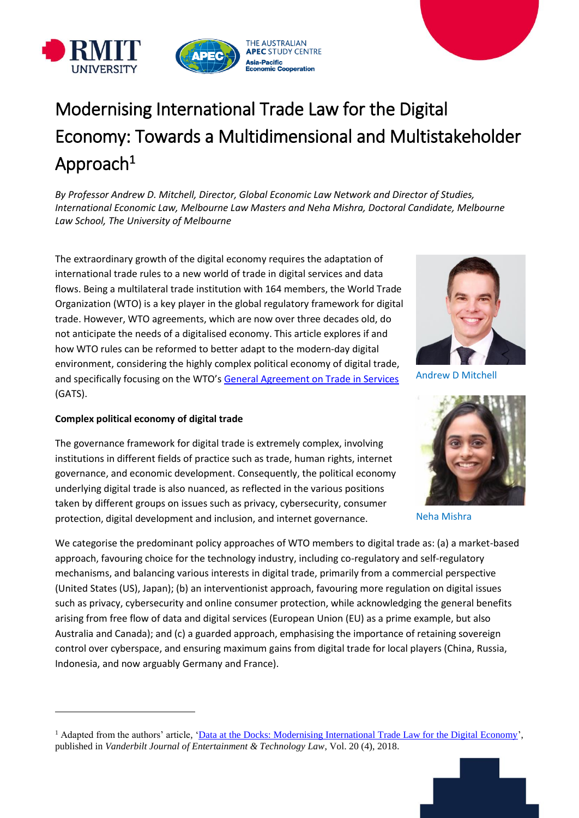

# Modernising International Trade Law for the Digital Economy: Towards a Multidimensional and Multistakeholder Approach $^1$

*By Professor Andrew D. Mitchell, Director, Global Economic Law Network and Director of Studies, International Economic Law, Melbourne Law Masters and Neha Mishra, Doctoral Candidate, Melbourne Law School, The University of Melbourne* 

The extraordinary growth of the digital economy requires the adaptation of international trade rules to a new world of trade in digital services and data flows. Being a multilateral trade institution with 164 members, the World Trade Organization (WTO) is a key player in the global regulatory framework for digital trade. However, WTO agreements, which are now over three decades old, do not anticipate the needs of a digitalised economy. This article explores if and how WTO rules can be reformed to better adapt to the modern-day digital environment, considering the highly complex political economy of digital trade, and specifically focusing on the WTO's [General Agreement on Trade in Services](https://www.wto.org/english/docs_e/legal_e/legal_e.htm#services) (GATS).

## **Complex political economy of digital trade**

l

The governance framework for digital trade is extremely complex, involving institutions in different fields of practice such as trade, human rights, internet governance, and economic development. Consequently, the political economy underlying digital trade is also nuanced, as reflected in the various positions taken by different groups on issues such as privacy, cybersecurity, consumer protection, digital development and inclusion, and internet governance.

We categorise the predominant policy approaches of WTO members to digital trade as: (a) a market-based approach, favouring choice for the technology industry, including co-regulatory and self-regulatory mechanisms, and balancing various interests in digital trade, primarily from a commercial perspective (United States (US), Japan); (b) an interventionist approach, favouring more regulation on digital issues such as privacy, cybersecurity and online consumer protection, while acknowledging the general benefits arising from free flow of data and digital services (European Union (EU) as a prime example, but also Australia and Canada); and (c) a guarded approach, emphasising the importance of retaining sovereign control over cyberspace, and ensuring maximum gains from digital trade for local players (China, Russia, Indonesia, and now arguably Germany and France).



Andrew D Mitchell



Neha Mishra



<sup>&</sup>lt;sup>1</sup> Adapted from the authors' article, ['Data at the Docks: Modernising International Trade Law for the Digital Economy'](https://papers.ssrn.com/sol3/papers.cfm?abstract_id=3064396), published in *Vanderbilt Journal of Entertainment & Technology Law*, Vol. 20 (4), 2018.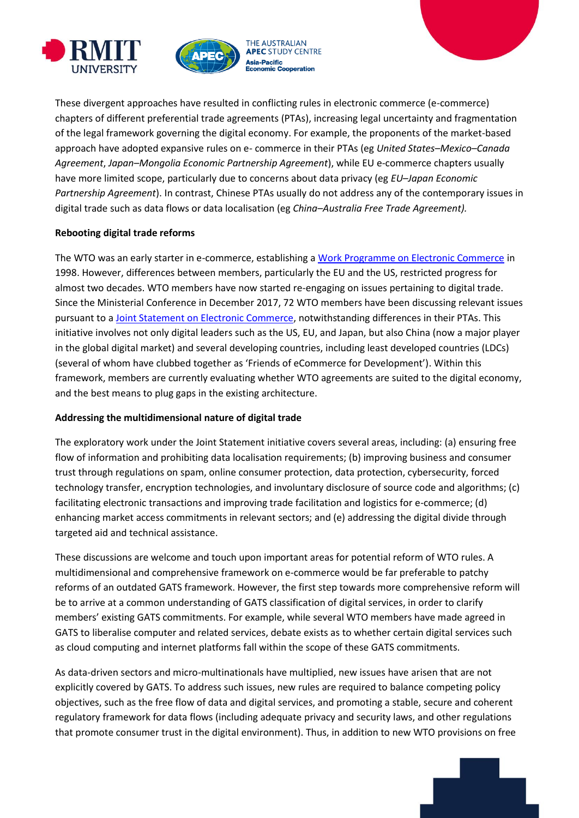



These divergent approaches have resulted in conflicting rules in electronic commerce (e-commerce) chapters of different preferential trade agreements (PTAs), increasing legal uncertainty and fragmentation of the legal framework governing the digital economy. For example, the proponents of the market-based approach have adopted expansive rules on e- commerce in their PTAs (eg *United States–Mexico–Canada Agreement*, *Japan–Mongolia Economic Partnership Agreement*), while EU e-commerce chapters usually have more limited scope, particularly due to concerns about data privacy (eg *EU–Japan Economic Partnership Agreement*). In contrast, Chinese PTAs usually do not address any of the contemporary issues in digital trade such as data flows or data localisation (eg *China–Australia Free Trade Agreement).* 

#### **Rebooting digital trade reforms**

The WTO was an early starter in e-commerce, establishing a [Work Programme on Electronic Commerce](https://www.wto.org/english/tratop_e/ecom_e/wkprog_e.htm) in 1998. However, differences between members, particularly the EU and the US, restricted progress for almost two decades. WTO members have now started re-engaging on issues pertaining to digital trade. Since the Ministerial Conference in December 2017, 72 WTO members have been discussing relevant issues pursuant to a [Joint Statement on Electronic Commerce,](https://www.wto.org/english/news_e/news17_e/minis_13dec17_e.htm) notwithstanding differences in their PTAs. This initiative involves not only digital leaders such as the US, EU, and Japan, but also China (now a major player in the global digital market) and several developing countries, including least developed countries (LDCs) (several of whom have clubbed together as 'Friends of eCommerce for Development'). Within this framework, members are currently evaluating whether WTO agreements are suited to the digital economy, and the best means to plug gaps in the existing architecture.

#### **Addressing the multidimensional nature of digital trade**

The exploratory work under the Joint Statement initiative covers several areas, including: (a) ensuring free flow of information and prohibiting data localisation requirements; (b) improving business and consumer trust through regulations on spam, online consumer protection, data protection, cybersecurity, forced technology transfer, encryption technologies, and involuntary disclosure of source code and algorithms; (c) facilitating electronic transactions and improving trade facilitation and logistics for e-commerce; (d) enhancing market access commitments in relevant sectors; and (e) addressing the digital divide through targeted aid and technical assistance.

These discussions are welcome and touch upon important areas for potential reform of WTO rules. A multidimensional and comprehensive framework on e-commerce would be far preferable to patchy reforms of an outdated GATS framework. However, the first step towards more comprehensive reform will be to arrive at a common understanding of GATS classification of digital services, in order to clarify members' existing GATS commitments. For example, while several WTO members have made agreed in GATS to liberalise computer and related services, debate exists as to whether certain digital services such as cloud computing and internet platforms fall within the scope of these GATS commitments.

As data-driven sectors and micro-multinationals have multiplied, new issues have arisen that are not explicitly covered by GATS. To address such issues, new rules are required to balance competing policy objectives, such as the free flow of data and digital services, and promoting a stable, secure and coherent regulatory framework for data flows (including adequate privacy and security laws, and other regulations that promote consumer trust in the digital environment). Thus, in addition to new WTO provisions on free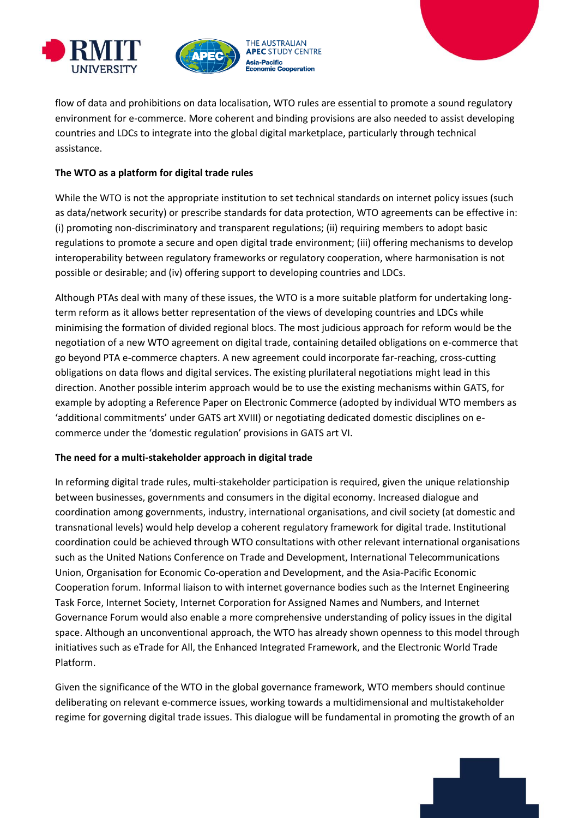



flow of data and prohibitions on data localisation, WTO rules are essential to promote a sound regulatory environment for e-commerce. More coherent and binding provisions are also needed to assist developing countries and LDCs to integrate into the global digital marketplace, particularly through technical assistance.

# **The WTO as a platform for digital trade rules**

While the WTO is not the appropriate institution to set technical standards on internet policy issues (such as data/network security) or prescribe standards for data protection, WTO agreements can be effective in: (i) promoting non-discriminatory and transparent regulations; (ii) requiring members to adopt basic regulations to promote a secure and open digital trade environment; (iii) offering mechanisms to develop interoperability between regulatory frameworks or regulatory cooperation, where harmonisation is not possible or desirable; and (iv) offering support to developing countries and LDCs.

Although PTAs deal with many of these issues, the WTO is a more suitable platform for undertaking longterm reform as it allows better representation of the views of developing countries and LDCs while minimising the formation of divided regional blocs. The most judicious approach for reform would be the negotiation of a new WTO agreement on digital trade, containing detailed obligations on e-commerce that go beyond PTA e-commerce chapters. A new agreement could incorporate far-reaching, cross-cutting obligations on data flows and digital services. The existing plurilateral negotiations might lead in this direction. Another possible interim approach would be to use the existing mechanisms within GATS, for example by adopting a Reference Paper on Electronic Commerce (adopted by individual WTO members as 'additional commitments' under GATS art XVIII) or negotiating dedicated domestic disciplines on ecommerce under the 'domestic regulation' provisions in GATS art VI.

## **The need for a multi-stakeholder approach in digital trade**

In reforming digital trade rules, multi-stakeholder participation is required, given the unique relationship between businesses, governments and consumers in the digital economy. Increased dialogue and coordination among governments, industry, international organisations, and civil society (at domestic and transnational levels) would help develop a coherent regulatory framework for digital trade. Institutional coordination could be achieved through WTO consultations with other relevant international organisations such as the United Nations Conference on Trade and Development, International Telecommunications Union, Organisation for Economic Co-operation and Development, and the Asia-Pacific Economic Cooperation forum. Informal liaison to with internet governance bodies such as the Internet Engineering Task Force, Internet Society, Internet Corporation for Assigned Names and Numbers, and Internet Governance Forum would also enable a more comprehensive understanding of policy issues in the digital space. Although an unconventional approach, the WTO has already shown openness to this model through initiatives such as eTrade for All, the Enhanced Integrated Framework, and the Electronic World Trade Platform.

Given the significance of the WTO in the global governance framework, WTO members should continue deliberating on relevant e-commerce issues, working towards a multidimensional and multistakeholder regime for governing digital trade issues. This dialogue will be fundamental in promoting the growth of an